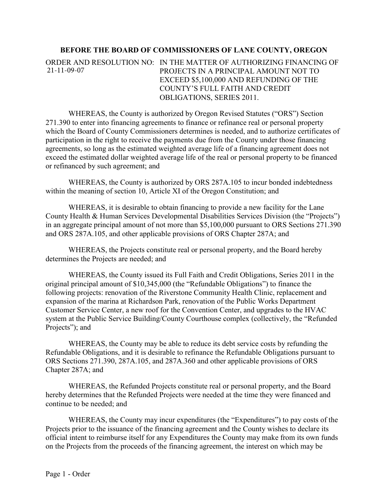## **BEFORE THE BOARD OF COMMISSIONERS OF LANE COUNTY, OREGON**

ORDER AND RESOLUTION NO: IN THE MATTER OF AUTHORIZING FINANCING OF PROJECTS IN A PRINCIPAL AMOUNT NOT TO EXCEED \$5,100,000 AND REFUNDING OF THE COUNTY'S FULL FAITH AND CREDIT OBLIGATIONS, SERIES 2011. 21-11-09-07

WHEREAS, the County is authorized by Oregon Revised Statutes ("ORS") Section 271.390 to enter into financing agreements to finance or refinance real or personal property which the Board of County Commissioners determines is needed, and to authorize certificates of participation in the right to receive the payments due from the County under those financing agreements, so long as the estimated weighted average life of a financing agreement does not exceed the estimated dollar weighted average life of the real or personal property to be financed or refinanced by such agreement; and

WHEREAS, the County is authorized by ORS 287A.105 to incur bonded indebtedness within the meaning of section 10, Article XI of the Oregon Constitution; and

WHEREAS, it is desirable to obtain financing to provide a new facility for the Lane County Health & Human Services Developmental Disabilities Services Division (the "Projects") in an aggregate principal amount of not more than \$5,100,000 pursuant to ORS Sections 271.390 and ORS 287A.105, and other applicable provisions of ORS Chapter 287A; and

WHEREAS, the Projects constitute real or personal property, and the Board hereby determines the Projects are needed; and

WHEREAS, the County issued its Full Faith and Credit Obligations, Series 2011 in the original principal amount of \$10,345,000 (the "Refundable Obligations") to finance the following projects: renovation of the Riverstone Community Health Clinic, replacement and expansion of the marina at Richardson Park, renovation of the Public Works Department Customer Service Center, a new roof for the Convention Center, and upgrades to the HVAC system at the Public Service Building/County Courthouse complex (collectively, the "Refunded Projects"); and

WHEREAS, the County may be able to reduce its debt service costs by refunding the Refundable Obligations, and it is desirable to refinance the Refundable Obligations pursuant to ORS Sections 271.390, 287A.105, and 287A.360 and other applicable provisions of ORS Chapter 287A; and

WHEREAS, the Refunded Projects constitute real or personal property, and the Board hereby determines that the Refunded Projects were needed at the time they were financed and continue to be needed; and

WHEREAS, the County may incur expenditures (the "Expenditures") to pay costs of the Projects prior to the issuance of the financing agreement and the County wishes to declare its official intent to reimburse itself for any Expenditures the County may make from its own funds on the Projects from the proceeds of the financing agreement, the interest on which may be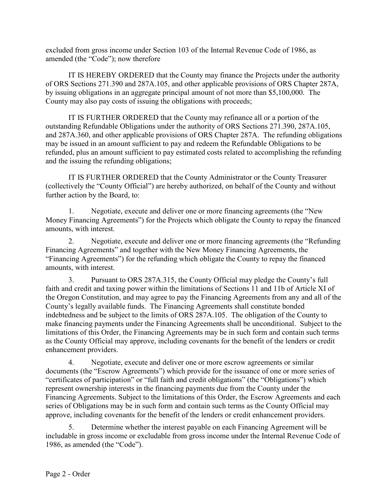excluded from gross income under Section 103 of the Internal Revenue Code of 1986, as amended (the "Code"); now therefore

IT IS HEREBY ORDERED that the County may finance the Projects under the authority of ORS Sections 271.390 and 287A.105, and other applicable provisions of ORS Chapter 287A, by issuing obligations in an aggregate principal amount of not more than \$5,100,000. The County may also pay costs of issuing the obligations with proceeds;

IT IS FURTHER ORDERED that the County may refinance all or a portion of the outstanding Refundable Obligations under the authority of ORS Sections 271.390, 287A.105, and 287A.360, and other applicable provisions of ORS Chapter 287A. The refunding obligations may be issued in an amount sufficient to pay and redeem the Refundable Obligations to be refunded, plus an amount sufficient to pay estimated costs related to accomplishing the refunding and the issuing the refunding obligations;

IT IS FURTHER ORDERED that the County Administrator or the County Treasurer (collectively the "County Official") are hereby authorized, on behalf of the County and without further action by the Board, to:

1. Negotiate, execute and deliver one or more financing agreements (the "New Money Financing Agreements") for the Projects which obligate the County to repay the financed amounts, with interest.

2. Negotiate, execute and deliver one or more financing agreements (the "Refunding Financing Agreements" and together with the New Money Financing Agreements, the "Financing Agreements") for the refunding which obligate the County to repay the financed amounts, with interest.

3. Pursuant to ORS 287A.315, the County Official may pledge the County's full faith and credit and taxing power within the limitations of Sections 11 and 11b of Article XI of the Oregon Constitution, and may agree to pay the Financing Agreements from any and all of the County's legally available funds. The Financing Agreements shall constitute bonded indebtedness and be subject to the limits of ORS 287A.105. The obligation of the County to make financing payments under the Financing Agreements shall be unconditional. Subject to the limitations of this Order, the Financing Agreements may be in such form and contain such terms as the County Official may approve, including covenants for the benefit of the lenders or credit enhancement providers.

4. Negotiate, execute and deliver one or more escrow agreements or similar documents (the "Escrow Agreements") which provide for the issuance of one or more series of "certificates of participation" or "full faith and credit obligations" (the "Obligations") which represent ownership interests in the financing payments due from the County under the Financing Agreements. Subject to the limitations of this Order, the Escrow Agreements and each series of Obligations may be in such form and contain such terms as the County Official may approve, including covenants for the benefit of the lenders or credit enhancement providers.

5. Determine whether the interest payable on each Financing Agreement will be includable in gross income or excludable from gross income under the Internal Revenue Code of 1986, as amended (the "Code").